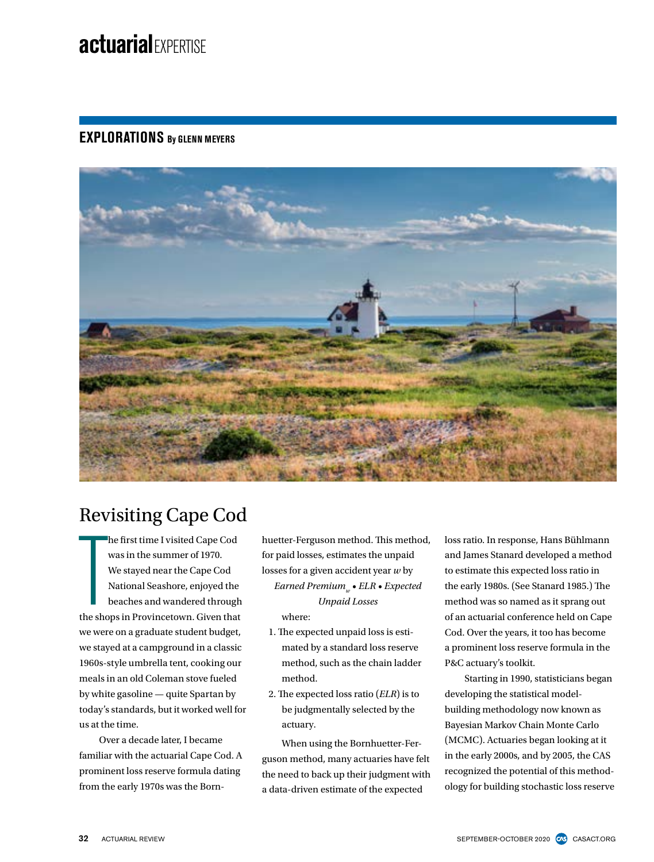# **actuarial**EXPERTISE

### **EXPLORATIONS By GLENN MEYERS**



## Revisiting Cape Cod

he first time I visited Cape Cod<br>was in the summer of 1970.<br>We stayed near the Cape Cod<br>National Seashore, enjoyed the<br>beaches and wandered through<br>the shops in Provincetown. Given that he first time I visited Cape Cod was in the summer of 1970. We stayed near the Cape Cod National Seashore, enjoyed the beaches and wandered through we were on a graduate student budget, we stayed at a campground in a classic 1960s-style umbrella tent, cooking our meals in an old Coleman stove fueled by white gasoline — quite Spartan by today's standards, but it worked well for us at the time.

Over a decade later, I became familiar with the actuarial Cape Cod. A prominent loss reserve formula dating from the early 1970s was the Bornhuetter-Ferguson method. This method, for paid losses, estimates the unpaid losses for a given accident year *w* by *Earned Premium*<sub>*w*</sub> • *ELR* • *Expected Unpaid Losses*

where:

- 1. The expected unpaid loss is estimated by a standard loss reserve method, such as the chain ladder method.
- 2. The expected loss ratio (*ELR*) is to be judgmentally selected by the actuary.

When using the Bornhuetter-Ferguson method, many actuaries have felt the need to back up their judgment with a data-driven estimate of the expected

loss ratio. In response, Hans Bühlmann and James Stanard developed a method to estimate this expected loss ratio in the early 1980s. (See Stanard 1985.) The method was so named as it sprang out of an actuarial conference held on Cape Cod. Over the years, it too has become a prominent loss reserve formula in the P&C actuary's toolkit.

Starting in 1990, statisticians began developing the statistical modelbuilding methodology now known as Bayesian Markov Chain Monte Carlo (MCMC). Actuaries began looking at it in the early 2000s, and by 2005, the CAS recognized the potential of this methodology for building stochastic loss reserve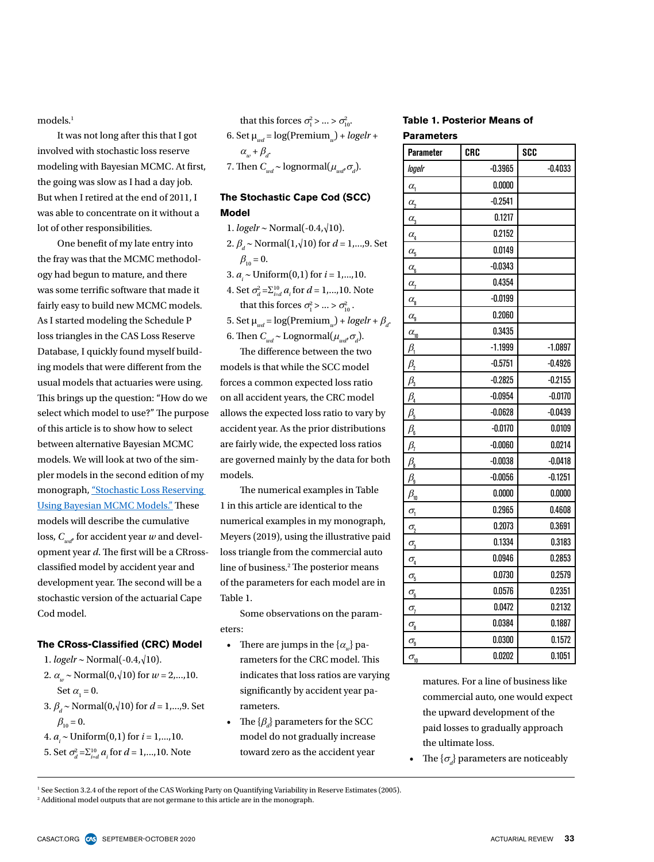models.<sup>1</sup>

It was not long after this that I got involved with stochastic loss reserve modeling with Bayesian MCMC. At first, the going was slow as I had a day job. But when I retired at the end of 2011, I was able to concentrate on it without a lot of other responsibilities.

One benefit of my late entry into the fray was that the MCMC methodology had begun to mature, and there was some terrific software that made it fairly easy to build new MCMC models. As I started modeling the Schedule P loss triangles in the CAS Loss Reserve Database, I quickly found myself building models that were different from the usual models that actuaries were using. This brings up the question: "How do we select which model to use?" The purpose of this article is to show how to select between alternative Bayesian MCMC models. We will look at two of the simpler models in the second edition of my monograph, ["Stochastic Loss Reserving](https://www.casact.org/pubs/monographs/index.cfm?fa=meyers-monograph08)  [Using Bayesian MCMC Models."](https://www.casact.org/pubs/monographs/index.cfm?fa=meyers-monograph08) These models will describe the cumulative loss,  $C_{wd}$  for accident year *w* and development year *d*. The first will be a CRrossclassified model by accident year and development year. The second will be a stochastic version of the actuarial Cape Cod model.

#### **The CRoss-Classified (CRC) Model**

- 1. *logelr* ∼ Normal(-0.4,√10).
- 2.  $\alpha_{w}$  ~ Normal(0, $\sqrt{10}$ ) for  $w = 2,...,10$ . Set  $\alpha_{1} = 0$ .
- 3.  $\beta$ <sub>*d*</sub> ∼ Normal(0, $\sqrt{10}$ ) for *d* = 1,...,9. Set  $\beta_{10} = 0.$
- 4. *ai* ∼ Uniform(0,1) for *i* = 1,...,10.
- 5. Set  $\sigma_d^2 = \sum_{i=d}^{10} a_i$  for  $d = 1,...,10$ . Note

that this forces  $\sigma_1^2$  > ... >  $\sigma_{10}^2$ . 6. Set  $\mu_{wd} = \log(\text{Premium}_w) + \log elr +$  $\alpha_w + \beta_d$ . 7. Then  $C_{wd} \sim$  lognormal $(\mu_{wd}, \sigma_d)$ .

#### **The Stochastic Cape Cod (SCC) Model**

1. *logelr* ∼ Normal(-0.4,√10). 2.  $\beta$ <sub>*i*</sub> ∼ Normal(1, $\sqrt{10}$ ) for *d* = 1,...,9. Set  $\beta_{10} = 0.$ 3. *ai* ∼ Uniform(0,1) for *i* = 1,...,10.

4. Set  $\sigma_d^2 = \sum_{i=d}^{10} a_i$  for  $d = 1,...,10$ . Note that this forces  $\sigma_1^2$  > ... >  $\sigma_{10}^2$ .

5. Set  $\mu_{wd} = \log(\text{Premium}_{w}) + logelr + \beta_{d}$ . 6. Then  $C_{wd} \sim \text{Lognormal}(\mu_{wd}, \sigma_d)$ .

The difference between the two models is that while the SCC model forces a common expected loss ratio on all accident years, the CRC model allows the expected loss ratio to vary by accident year. As the prior distributions are fairly wide, the expected loss ratios are governed mainly by the data for both models.

The numerical examples in Table 1 in this article are identical to the numerical examples in my monograph, Meyers (2019), using the illustrative paid loss triangle from the commercial auto line of business.2 The posterior means of the parameters for each model are in Table 1.

Some observations on the parameters:

- There are jumps in the  $\{\alpha_{\mu}\}$  parameters for the CRC model. This indicates that loss ratios are varying significantly by accident year parameters.
- The  $\{\beta_d\}$  parameters for the SCC model do not gradually increase toward zero as the accident year

#### **Table 1. Posterior Means of Parameters**

| <b>Parameter</b>                              | CRC       | <b>SCC</b> |
|-----------------------------------------------|-----------|------------|
| logelr                                        | $-0.3965$ | $-0.4033$  |
| $\alpha$ <sub>1</sub>                         | 0.0000    |            |
| $\alpha$ <sub>2</sub>                         | $-0.2541$ |            |
| $\alpha_{\underline{3}}$                      | 0.1217    |            |
| $\alpha$ <sub>4</sub>                         | 0.2152    |            |
| $\alpha_{\underline{5}}$                      | 0.0149    |            |
| $\alpha_{\underline{6}}$                      | $-0.0343$ |            |
| $\alpha_{1}$                                  | 0.4354    |            |
| $\alpha_{\underline{8}}$                      | $-0.0199$ |            |
| $\alpha_{\underline{9}}$                      | 0.2060    |            |
| $\alpha_{\underline{10}}$                     | 0.3435    |            |
| $\beta_1$                                     | $-1.1999$ | $-1.0897$  |
| $\beta$ <sub>2</sub>                          | $-0.5751$ | $-0.4926$  |
| $\beta_{3}$                                   | $-0.2825$ | $-0.2155$  |
| $\beta_{\scriptscriptstyle 4}$                | $-0.0954$ | $-0.0170$  |
| $\beta_{\frac{5}{2}}$                         | $-0.0628$ | $-0.0439$  |
| $\beta_{\scriptscriptstyle 6}$                | $-0.0170$ | 0.0109     |
| $\beta_{7}$                                   | $-0.0060$ | 0.0214     |
| $\beta_{\underline{8}}$                       | $-0.0038$ | $-0.0418$  |
| $\beta_{\rm s}$                               | $-0.0056$ | $-0.1251$  |
| $\beta_{\underline{10}}$                      | 0.0000    | 0.0000     |
| $\sigma_{i}$                                  | 0.2965    | 0.4608     |
| $\sigma$ <sub>2</sub>                         | 0.2073    | 0.3691     |
| $\sigma$ <sub>3</sub>                         | 0.1334    | 0.3183     |
| $\sigma_{\underline{i}}$                      | 0.0946    | 0.2853     |
| $\sigma$ <sub>5</sub>                         | 0.0730    | 0.2579     |
| $\sigma_{\underline{\underline{6}}}$          | 0.0576    | 0.2351     |
| $\sigma_{l}$                                  | 0.0472    | 0.2132     |
| $\sigma$ <sub>8</sub>                         | 0.0384    | 0.1887     |
| $\sigma_{\underline{\underline{\mathbf{g}}}}$ | 0.0300    | 0.1572     |
| $\sigma_{\underline{10}}$                     | 0.0202    | 0.1051     |

matures. For a line of business like commercial auto, one would expect the upward development of the paid losses to gradually approach the ultimate loss.

• The  $\{\sigma_d\}$  parameters are noticeably

<sup>1</sup> See Section 3.2.4 of the report of the CAS Working Party on Quantifying Variability in Reserve Estimates (2005). 2 Additional model outputs that are not germane to this article are in the monograph.

CASACT.ORG CO SEPTEMBER-OCTOBER 2020 **ACTUARIAL REVIEW 33**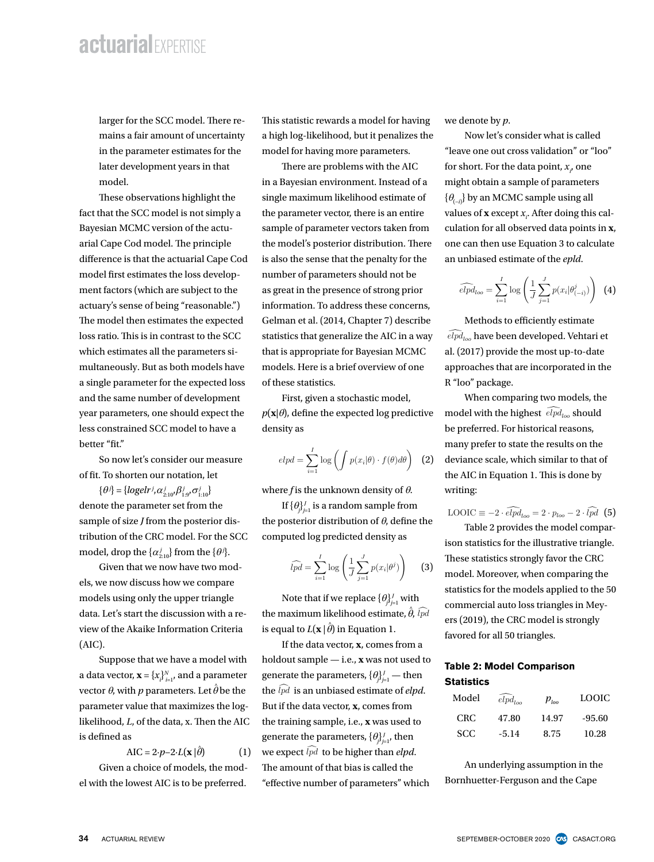### $Q_{\rm F}$  in the parameter estimates for the parameter estimates for the later development years in the later development years in the later development years in the later development years in the later development years i **actuarial**EXPERTISE

larger for the SCC model. There remains a fair amount of uncertainty in the parameter estimates for the later development years in that model.

These observations highlight the fact that the SCC model is not simply a Bayesian MCMC version of the actuarial Cape Cod model. The principle difference is that the actuarial Cape Cod model first estimates the loss develop-<br>nur ment factors (which are subject to the actuary's sense of being "reasonable.") The model then estimates the expected loss ratio. This is in contrast to the SCC which estimates all the parameters simultaneously. But as both models have a single parameter for the expected loss and the same number of development year parameters, one should expect the  $\qquad p$ less constrained SCC model to have a better "fit."  $t$  is develop-different as  $\alpha$  parameters.

So now let's consider our measure of fit. To shorten our notation, let

 $\{\theta^j\} = \{logelr^j, \alpha^j_{2:10}, \beta^j_{1:9}, \sigma^j_{1:10}\}$ denote the parameter set from the sample of size *J* from the posterior distribution of the CRC model. For the SCC model, drop the  $\{\alpha_{2:10}^j\}$  from the  $\{\theta^j\}$ .

Given that we now have two models, we now discuss how we compare models using only the upper triangle  $\qquad \qquad$  N data. Let's start the discussion with a review of the Akaike Information Criteria<br>(AJC) (AIC).

Suppose that we have a model with a data vector,  $\mathbf{x} = \{x_i\}_{i=1}^N$ , and a parameter generate the  $\mathbf{y}$ vector  $\theta$ , with  $p$  parameters. Let  $\hat{\theta}$  be the parameter value that maximizes the log $likelihood, L, of the data, x. Then the AIC$  the is defined as

$$
AIC = 2 \cdot p - 2 \cdot L(\mathbf{x} | \hat{\theta}) \tag{1}
$$

 $G$ iven a choice of models, the model with the lowest AIC is to be preferred. most up-to-date approaches that are incorporated in the R "loo" package.

 $c$  model. There re-<br>If  $\frac{1}{2}$  is statistic rewards a model for having we denote by p. ant of uncertainty a high log-likelihood, but it penalizes the same in Now let's controllering the same of the same in the same in the same in the same in the same in the same in the same in the same in the same in the sam mates for the model for having more parameters.  $\ddot{\hspace{1cm}}$  $\quad$  int of uncertainty  $\quad$  a high log-likelihood, but it penalizes the  $\quad$  Now let  $\mu$  for having we define the posterior distribution of  $\mu$ .

There are problems with the AIC mere dre problems with die ries<br>in a Bayesian environment. Instead of a mi the parameter single maximum likelihood estimate of  $\{\theta_{(\cdot)}\}$  by an MCM  $\{\theta_{(\cdot)}\}$ the parameter vector, there is an entire  $\mathbf{e}_{(-i)}$  by an  $\mathbf{e}_{(-i)}$  by an  $\mathbf{e}_{(-i)}$ . sacromagned that we now have two models we have the models of the actu-<br>of the actu-<br>of the actuthe model's posterior distribution. There arial Cape Cod is also the sense that the penalty for the an unbias number of parameters should not be that may be the parameters one of the parameters of the log-likelihood, L, of the short. For short. For short. For short. For short. For short. For short. For short. For short. For short. as great in the presence of strong prior  $\widehat{elpd}_{\text{loop}} = \sum_{i=1}^{I} \log \left( \frac{1}{I} \sum_{i=1}^{J} p(x_i | \theta_{(-i)}^i) \right)$  (4)  $\sum_{i=1}^{n} \sum_{i=0}^{n} \left( \int \sum_{j=1}^{n} \sum_{i=1}^{n} \sum_{j=1}^{n} \sum_{j=1}^{n} \sum_{j=1}^{n} \sum_{j=1}^{n} \sum_{j=1}^{n} \sum_{j=1}^{n} \sum_{j=1}^{n} \sum_{j=1}^{n} \sum_{j=1}^{n} \sum_{j=1}^{n} \sum_{j=1}^{n} \sum_{j=1}^{n} \sum_{j=1}^{n} \sum_{j=1}^{n} \sum_{j=1}^{n} \sum_{j=1}^{n} \sum_{j=1}^{n} \sum_{j=$ ates the expected Gelman et al. (2014, Chapter 7) describe Methods to e The rewards are the SCC statistics that generalize the AIC in a way  $\widehat{elpd}_{loo}$  have been arameters si-chat is appropriate for Bayesian MCMC al. (2017) provide both models have models. Here is a brief overview of one approaches that a the expected loss of these statistics. R "loo" package. on of the actu-sample of parameter vectors taken from culation for all obs taken from the model sponsor distribution. The sense that the sense that the sense that the penalty for the penalty for the penalty for the penalty for the penalty for the penalty for the penalty for the penalty for the p comes from the training sample, i.e. x was used to generate the parameters,  ${\cal L}$ 

of development First, given a stochastic model, When compa should expect the  $p(x|\theta)$ , define the expected log predictive model with the higher density as  $\text{det}(\mathbf{v})$  and  $\mathbf{v}$  definity as a stochastic model is expected to preferred.

$$
elpd = \sum_{i=1}^{I} \log \left( \int p(x_i|\theta) \cdot f(\theta) d\theta \right) \quad (2)
$$

 $\delta_{\rm p} {\beta}_{\rm 1.9}^{j} \sigma_{\rm 1.10}^{j}$  where *f* is the unknown density of  $\theta$ . writing:

the posterior distribution of  $\theta$ , define the If  $\{\theta_j\}_{j=1}^J$  is a random sample from  $\qquad \qquad$   $\qquad$   $\qquad$   $\qquad$   $\qquad$   $\qquad$   $\qquad$   $\qquad$   $\qquad$   $\qquad$   $\qquad$   $\qquad$   $\qquad$   $\qquad$   $\qquad$   $\qquad$   $\qquad$   $\qquad$   $\qquad$   $\qquad$   $\qquad$   $\qquad$   $\qquad$   $\qquad$   $\qquad$   $\qquad$   $\qquad$   $\qquad$   $\qquad$   $\$  $B$ . For the SCC computed log predicted density as ison statistics for the scc sample nom<br>  $\text{LOOIC} \equiv -2 \cdot \widehat{elpd}_{loo} = 2 \cdot p_{loo} - 2 \cdot \widehat{lpd}$  (5)<br>  $\text{Table 2 provides the model compar-}$ 

$$
\widehat{lpd} = \sum_{i=1}^{I} \log \left( \frac{1}{J} \sum_{j=1}^{J} p(x_i | \theta^j) \right) \quad (3)
$$
 These status  
model. Mor  
statistics for

ation Criteria is equal to  $L(\mathbf{x} | \hat{\theta})$  in Equation 1. the maximum likelihood estimate,  $\hat{\theta}$ ,  $\hat{p}d$  are

If the data vector, **x**, comes from a ave a model with holdout sample  $-$  i.e., x was not used to  $\tau_{\text{able}}$  ? Model Comparison  $\mathbf{N}$  let  $\hat{\theta}$  be the  $\hat{\theta}$  is en unbiased estimate of  $\hat{\theta}$  ond  $\hat{\theta}$ the distribution of data point of parameters  ${\rm Model}$   $\widehat{elpd}_{loc}$ has imizes the log-But if the data vector, **x**, comes from  $\mu_{\text{total}}$   $\mu_{\text{total}}$ a, x. Then the AIC the training sample, i.e., x was used to CRC 47.80 generate the parameters,  $\{\theta_j\}_{j=1}^J$ , then  $L(\mathbf{x}|\hat{\theta})$  (1) we expect  $\widehat{lpd}$  to be higher than *elpd*.  $j=1$  is an unbiased estimate of the left is an underlying the data vector,  $j=1$  and  $k=1$ generate the parameters,  $\{\theta_j\}_{j=1}^J$ , then  $SCC \t -5.14 \t 8.75 \t 10.28$ IC is to be preferred. "effective number of parameters" which Bornhuetter-Fergu  $\mathbf n$  a  $\frac{1}{2}$  and  $\frac{1}{2}$ . Model comparison<br>Statistics  $\sum_{j}$   $\sum_{j=1}^{N}$   $\sum_{j=1}^{N}$   $\sum_{j=1}^{N}$   $\sum_{j=1}^{N}$   $\sum_{j=1}^{N}$   $\sum_{j=1}^{N}$   $\sum_{j=1}^{N}$   $\sum_{j=1}^{N}$   $\sum_{j=1}^{N}$   $\sum_{j=1}^{N}$   $\sum_{j=1}^{N}$   $\sum_{j=1}^{N}$   $\sum_{j=1}^{N}$   $\sum_{j=1}^{N}$   $\sum_{j=1}^{N}$   $\sum_{j=1}^{N}$   $\sum_{j$ statistics<br>the  $\widehat{lpd}$  is an unbiased estimate of *elpd*.<br>Model  $\widehat{elrd}$  n. LOOIC  $\ddot{\phantom{0}}$ is an unbiased estimate of *elpd*. of models, the mod-<br>The amount of that bias is called the  $\frac{f}{\sqrt{2}}$  $t_{\text{from a}}$ 

we denote by  $p$ .

he penalty for the an unbiased estimate of the *epld*. Now let's consider what is called "leave one out cross validation" or "loo" with the AIC for short. For the data point,  $x_i$  one of a might obtain a sample of parameters shood estimate of  $\{\theta_{(-i)}\}$  by an MCMC sample using all there is an entire values of **x** except  $x_i$ . After doing this cal- $\frac{1}{100}$  for  $\frac{1}{100}$  for all observed data points in **x**, or distribution. There one can then use Equation 3 to calculate ment. instead of a maximum likelihood estimate, i.e. with the maximum likelihood estimate, hood estimate, hood estimate,  $\theta$ er vectors taken from culation for all observed data points in  $\bf{x}$ ,  $\eta$ epia. ved data p

terms should not be

\nence of strong prior

\n
$$
\widehat{elpd}_{loo} = \sum_{i=1}^{I} \log \left( \frac{1}{J} \sum_{j=1}^{J} p(x_i | \theta_{(-i)}^j) \right)
$$
\n(4)

\ndress these concerns.

pter  $7$ ) describe Methods to efficiently estimate metricus to emerging estimate<br>ze the AIC in a way  $\widehat{elpd}_{loo}$  have been developed. Vehtari et Bayesian MCMC al. (2017) provide the most up-to-date foverview of one approaches that are incorporated in the J  $\widehat{elpd}_{loo}$  have been developed. Vehtari et  $\widehat{elpd}_{loo}$ R "loo" package. comes from the training sample, i.e. x was used to generate the parameters,  ${\cal C}$ Chapter 7) describe Methods to efficiently estimate  $\frac{d}{dx}$  bayomin MCMC sample of  $\frac{d}{dx}$  ( $\frac{d}{dx}$ ) provide the most  $\frac{d}{dx}$  to that  $\frac{d}{dx}$  is the most  $\frac{d}{dx}$ 

 $p(x_i|\theta) \cdot f(\theta)d\theta$  (2) deviance scale, which similar to that of to<br>chastic model, When comparing two models, the tochastic model, when comparing two models, the spected log predictive model with the highest  $\widehat{elpd}_{loo}$  should statistics strongly favor the CRC model. Moreover, when comparing the statistics for the statistics for the statistics for the statistics for the statistics for the statistics for the statistics for the statistics for the be preferred. For historical reasons, many prefer to state the results on the  $\begin{array}{c} \hline \end{array}$   $\begin{array}{c} \hline \end{array}$  for  $M$  is  $\begin{array}{c} \hline \end{array}$  and  $\begin{array}{c} \hline \end{array}$  for the statistics for the statistics for the statistics for the statistical density.  $\log$  $\frac{1}{2}$   $\int P(x_1, y_1, y_2, y_3)$   $\int Q(x_1, y_2, y_3) dx_1 dx_2 dx_2 dx_3 dx_4 dx_5 dx_6 dx_7 dx_8 dx_9 dx_1 dx_1 dx_2 dx_3 dx_4 dx_5 dx_6 dx_7 dx_8 dx_9 dx_1 dx_1 dx_2 dx_3 dx_4 dx_5 dx_6 dx_7 dx_8 dx_9 dx_1 dx_1 dx_2 dx_3 dx_4 dx_4 dx_5 dx_6 dx_7 dx_8 dx_9 dx_1 dx_1 dx_2 dx_3 dx_4 dx_4 dx_5 dx_7 dx_8 dx_9 dx_1 dx_1 dx_2 dx_3 dx_4 dx_4 dx_$ writing:

$$
LOOIC \equiv -2 \cdot \widehat{elpd}_{loo} = 2 \cdot p_{loo} - 2 \cdot \widehat{lpd} \tag{5}
$$

 $\frac{1}{3}$  model. Moreover, when comparing the Note that if we replace  $\{\theta_j^1\}_{j=1}^J$  with commercial auto loss triangles in May- $\frac{V_{-1}}{V_{-1}}$  with commercial auto loss triangles in Mey-<br>ate,  $\hat{\theta}$ ,  $\widehat{lpd}$  (comp) decreases the parameters,  $\frac{1}{2}$  favored for all 50 tr statistics for the models applied to the 50 ate,  $\hat{\theta}$ ,  $\widehat{lpd}$  ers (2019), the CRC model is strongly density as ison statistics for the illustrative triangle. that the expected losses for each year is proportional to that access for each year is premium. If is isomorphic is premium. If is in the each year is premium. If is in the each year is premium. If is in the each of isomo  $\left(1\right)^{J}$  (b) These statistics strongly favor the CRC Table 2 provides these model comparison statistics for the illustrative triangle. These  $\frac{d}{dx}$  ison statistics for the illustrative triangle.  $\frac{1}{2}$ . favored for all 50 triangles.  $\left( 3 \right)$  inese s

#### <sup>Tundet</sup> in the Bornhuetter-Table 2: Model Comparison that the expected losses for each year is proportional to that accident year's premium. If is  $t_{\text{core}}$   $\beta$   $\beta$   $\beta$   $\beta$   $\gamma$  than **Statistics**

| of elpd.<br>from | Model      | $\widehat{elpd}_{loo}$ | $p_{\scriptscriptstyle loo}$ | <b>LOOIC</b> |  |
|------------------|------------|------------------------|------------------------------|--------------|--|
| ised to          | <b>CRC</b> | 47.80                  | 14.97                        | -95.60       |  |
| then             | <b>SCC</b> | $-5.14$                | 8.75                         | 10.28        |  |
|                  |            |                        |                              |              |  |

 $x$ , and underlying assumption in the epoch of that bias is called the epide. s" which Bornhuetter-Ferguson and the Cape etpa.<br>d the model be preferred. An underlying assumption in the  $\alpha$